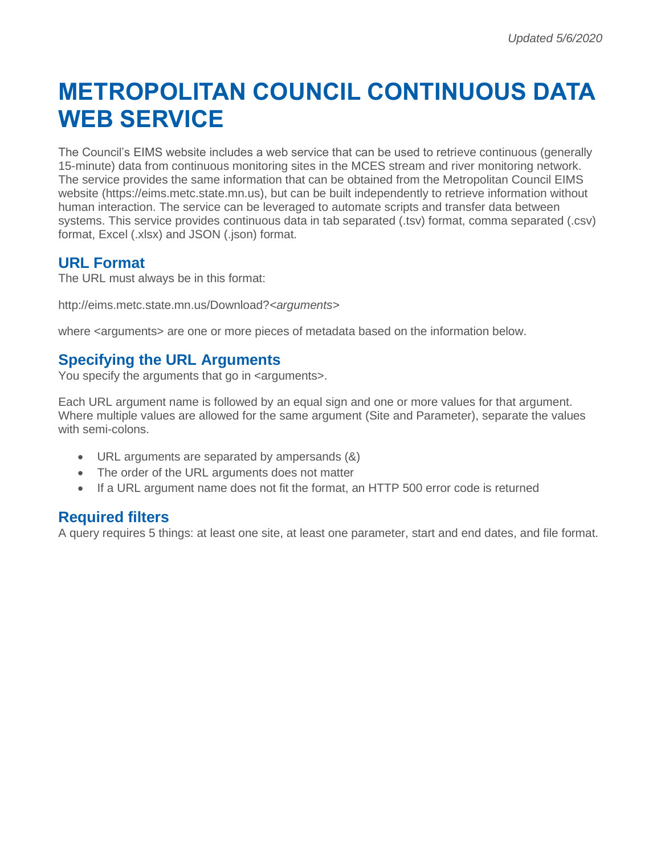# **METROPOLITAN COUNCIL CONTINUOUS DATA WEB SERVICE**

The Council's EIMS website includes a web service that can be used to retrieve continuous (generally 15-minute) data from continuous monitoring sites in the MCES stream and river monitoring network. The service provides the same information that can be obtained from the Metropolitan Council EIMS website (https://eims.metc.state.mn.us), but can be built independently to retrieve information without human interaction. The service can be leveraged to automate scripts and transfer data between systems. This service provides continuous data in tab separated (.tsv) format, comma separated (.csv) format, Excel (.xlsx) and JSON (.json) format.

## **URL Format**

The URL must always be in this format:

http://eims.metc.state.mn.us/Download?*<arguments>*

where  $\leq$  arguments  $\geq$  are one or more pieces of metadata based on the information below.

## **Specifying the URL Arguments**

You specify the arguments that go in <arguments>.

Each URL argument name is followed by an equal sign and one or more values for that argument. Where multiple values are allowed for the same argument (Site and Parameter), separate the values with semi-colons.

- URL arguments are separated by ampersands (&)
- The order of the URL arguments does not matter
- If a URL argument name does not fit the format, an HTTP 500 error code is returned

#### **Required filters**

A query requires 5 things: at least one site, at least one parameter, start and end dates, and file format.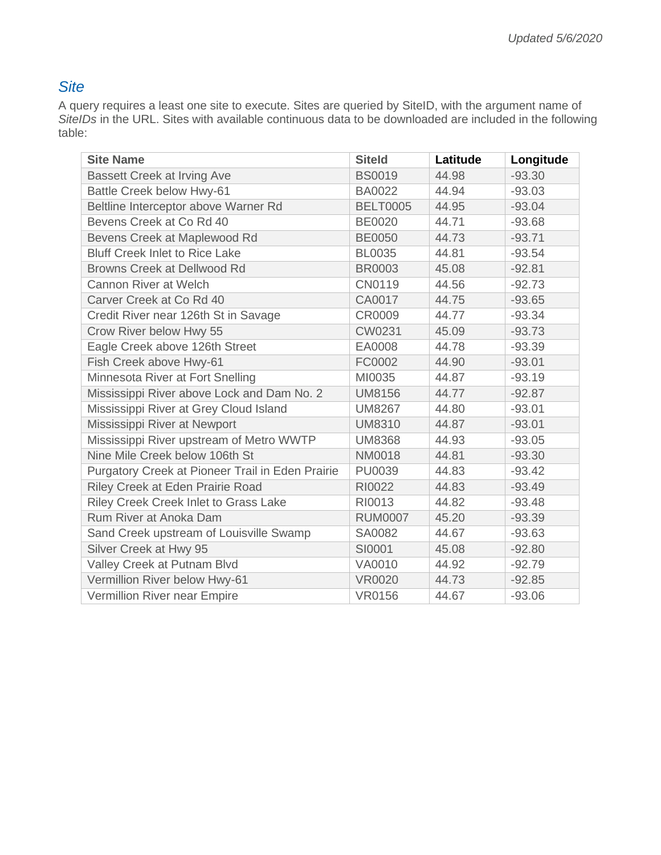# *Site*

A query requires a least one site to execute. Sites are queried by SiteID, with the argument name of *SiteIDs* in the URL. Sites with available continuous data to be downloaded are included in the following table:

| <b>Site Name</b>                                 | <b>Siteld</b>   | Latitude | Longitude |
|--------------------------------------------------|-----------------|----------|-----------|
| <b>Bassett Creek at Irving Ave</b>               | <b>BS0019</b>   | 44.98    | $-93.30$  |
| Battle Creek below Hwy-61                        | <b>BA0022</b>   | 44.94    | $-93.03$  |
| Beltline Interceptor above Warner Rd             | <b>BELT0005</b> | 44.95    | $-93.04$  |
| Bevens Creek at Co Rd 40                         | <b>BE0020</b>   | 44.71    | $-93.68$  |
| Bevens Creek at Maplewood Rd                     | <b>BE0050</b>   | 44.73    | $-93.71$  |
| <b>Bluff Creek Inlet to Rice Lake</b>            | <b>BL0035</b>   | 44.81    | $-93.54$  |
| <b>Browns Creek at Dellwood Rd</b>               | <b>BR0003</b>   | 45.08    | $-92.81$  |
| Cannon River at Welch                            | CN0119          | 44.56    | $-92.73$  |
| Carver Creek at Co Rd 40                         | CA0017          | 44.75    | $-93.65$  |
| Credit River near 126th St in Savage             | CR0009          | 44.77    | $-93.34$  |
| Crow River below Hwy 55                          | CW0231          | 45.09    | $-93.73$  |
| Eagle Creek above 126th Street                   | EA0008          | 44.78    | $-93.39$  |
| Fish Creek above Hwy-61                          | FC0002          | 44.90    | $-93.01$  |
| Minnesota River at Fort Snelling                 | MI0035          | 44.87    | $-93.19$  |
| Mississippi River above Lock and Dam No. 2       | <b>UM8156</b>   | 44.77    | $-92.87$  |
| Mississippi River at Grey Cloud Island           | <b>UM8267</b>   | 44.80    | $-93.01$  |
| Mississippi River at Newport                     | <b>UM8310</b>   | 44.87    | $-93.01$  |
| Mississippi River upstream of Metro WWTP         | <b>UM8368</b>   | 44.93    | $-93.05$  |
| Nine Mile Creek below 106th St                   | <b>NM0018</b>   | 44.81    | $-93.30$  |
| Purgatory Creek at Pioneer Trail in Eden Prairie | PU0039          | 44.83    | $-93.42$  |
| Riley Creek at Eden Prairie Road                 | RI0022          | 44.83    | $-93.49$  |
| Riley Creek Creek Inlet to Grass Lake            | RI0013          | 44.82    | $-93.48$  |
| Rum River at Anoka Dam                           | <b>RUM0007</b>  | 45.20    | $-93.39$  |
| Sand Creek upstream of Louisville Swamp          | SA0082          | 44.67    | $-93.63$  |
| Silver Creek at Hwy 95                           | SI0001          | 45.08    | $-92.80$  |
| Valley Creek at Putnam Blvd                      | VA0010          | 44.92    | $-92.79$  |
| Vermillion River below Hwy-61                    | <b>VR0020</b>   | 44.73    | $-92.85$  |
| Vermillion River near Empire                     | <b>VR0156</b>   | 44.67    | $-93.06$  |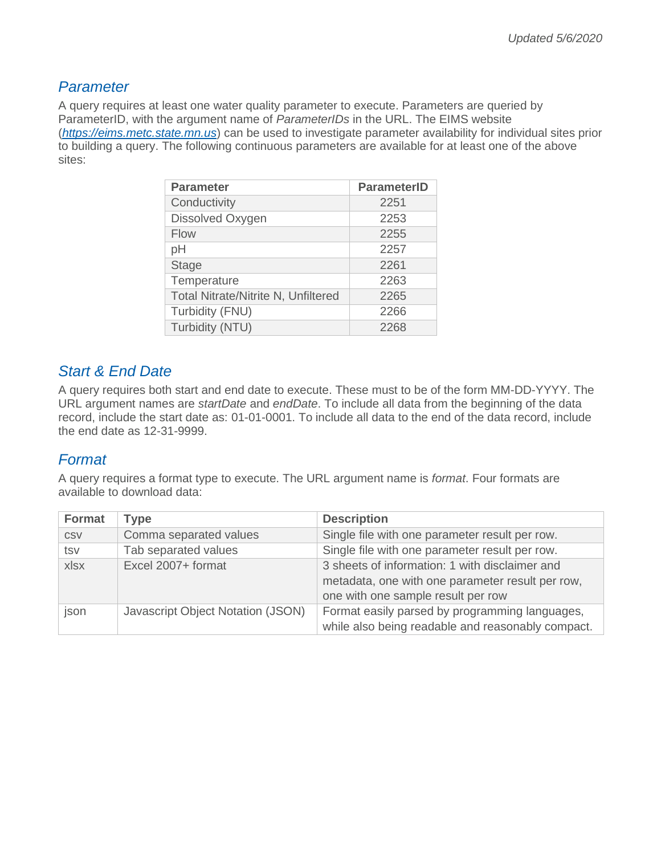## *Parameter*

A query requires at least one water quality parameter to execute. Parameters are queried by ParameterID, with the argument name of *ParameterIDs* in the URL. The EIMS website (*[https://eims.metc.state.mn.us](https://eims.metc.state.mn.us/)*) can be used to investigate parameter availability for individual sites prior to building a query. The following continuous parameters are available for at least one of the above sites:

| <b>Parameter</b>                           | <b>ParameterID</b> |
|--------------------------------------------|--------------------|
| Conductivity                               | 2251               |
| Dissolved Oxygen                           | 2253               |
| <b>Flow</b>                                | 2255               |
| pH                                         | 2257               |
| <b>Stage</b>                               | 2261               |
| Temperature                                | 2263               |
| <b>Total Nitrate/Nitrite N, Unfiltered</b> | 2265               |
| Turbidity (FNU)                            | 2266               |
| Turbidity (NTU)                            | 2268               |

## *Start & End Date*

A query requires both start and end date to execute. These must to be of the form MM-DD-YYYY. The URL argument names are *startDate* and *endDate*. To include all data from the beginning of the data record, include the start date as: 01-01-0001. To include all data to the end of the data record, include the end date as 12-31-9999.

## *Format*

A query requires a format type to execute. The URL argument name is *format*. Four formats are available to download data:

| <b>Format</b> | <b>Type</b>                       | <b>Description</b>                                                                                                                       |
|---------------|-----------------------------------|------------------------------------------------------------------------------------------------------------------------------------------|
| <b>CSV</b>    | Comma separated values            | Single file with one parameter result per row.                                                                                           |
| tsv           | Tab separated values              | Single file with one parameter result per row.                                                                                           |
| xlsx          | Excel 2007+ format                | 3 sheets of information: 1 with disclaimer and<br>metadata, one with one parameter result per row,<br>one with one sample result per row |
| json          | Javascript Object Notation (JSON) | Format easily parsed by programming languages,<br>while also being readable and reasonably compact.                                      |